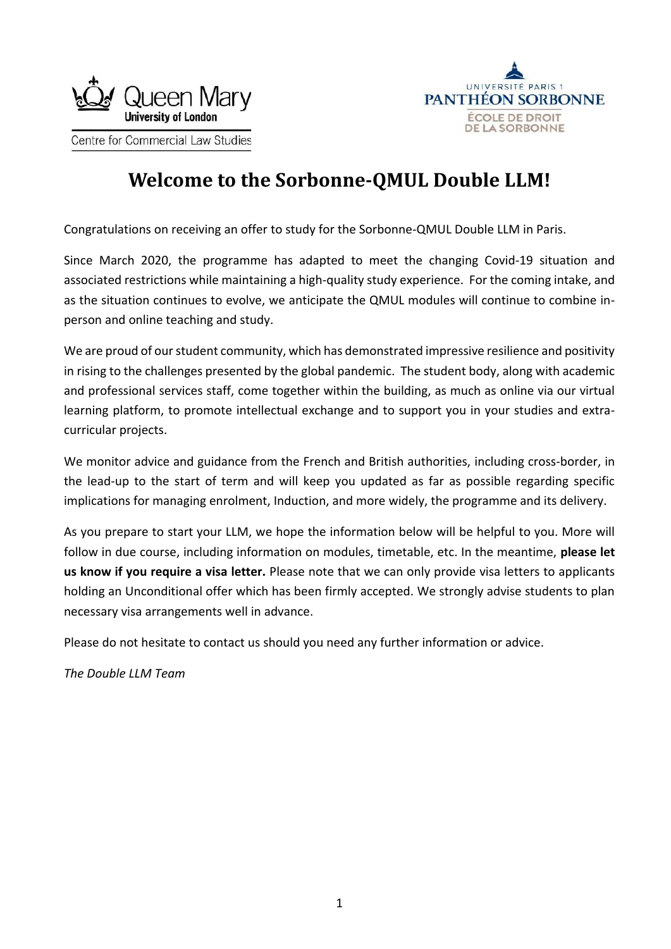



# **Welcome to the Sorbonne-QMUL Double LLM!**

Congratulations on receiving an offer to study for the Sorbonne-QMUL Double LLM in Paris.

Since March 2020, the programme has adapted to meet the changing Covid-19 situation and associated restrictions while maintaining a high-quality study experience. For the coming intake, and as the situation continues to evolve, we anticipate the QMUL modules will continue to combine inperson and online teaching and study.

We are proud of our student community, which has demonstrated impressive resilience and positivity in rising to the challenges presented by the global pandemic. The student body, along with academic and professional services staff, come together within the building, as much as online via our virtual learning platform, to promote intellectual exchange and to support you in your studies and extracurricular projects.

We monitor advice and guidance from the French and British authorities, including cross-border, in the lead-up to the start of term and will keep you updated as far as possible regarding specific implications for managing enrolment, Induction, and more widely, the programme and its delivery.

As you prepare to start your LLM, we hope the information below will be helpful to you. More will follow in due course, including information on modules, timetable, etc. In the meantime, **please let us know if you require a visa letter.** Please note that we can only provide visa letters to applicants holding an Unconditional offer which has been firmly accepted. We strongly advise students to plan necessary visa arrangements well in advance.

Please do not hesitate to contact us should you need any further information or advice.

*The Double LLM Team*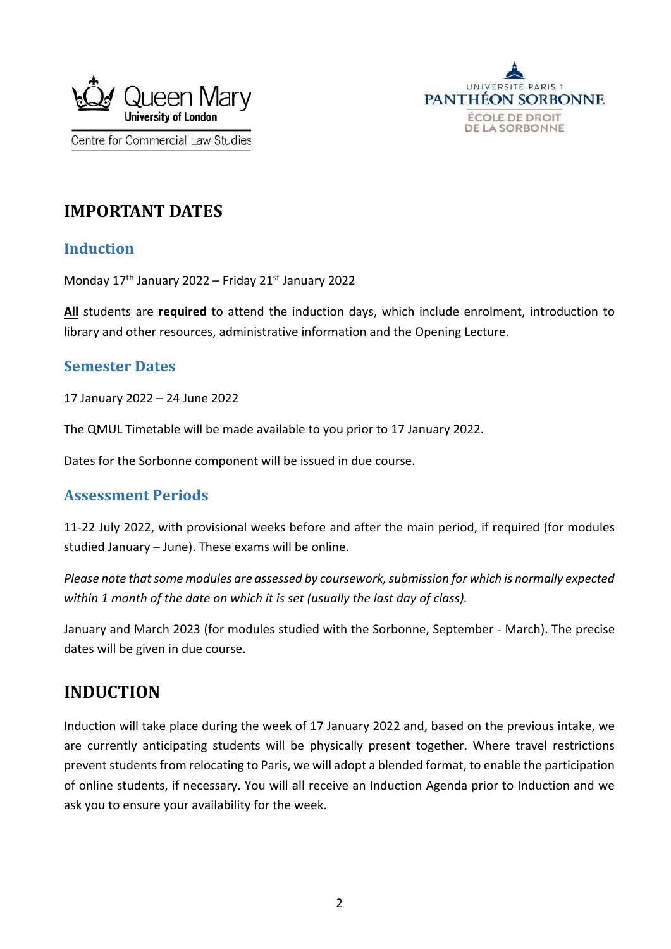



# **IMPORTANT DATES**

## **Induction**

Monday 17th January 2022 – Friday 21st January 2022

**All** students are **required** to attend the induction days, which include enrolment, introduction to library and other resources, administrative information and the Opening Lecture.

## **Semester Dates**

17 January 2022 – 24 June 2022

The QMUL Timetable will be made available to you prior to 17 January 2022.

Dates for the Sorbonne component will be issued in due course.

#### **Assessment Periods**

11-22 July 2022, with provisional weeks before and after the main period, if required (for modules studied January – June). These exams will be online.

*Please note that some modules are assessed by coursework, submission for which is normally expected within 1 month of the date on which it is set (usually the last day of class).* 

January and March 2023 (for modules studied with the Sorbonne, September - March). The precise dates will be given in due course.

# **INDUCTION**

Induction will take place during the week of 17 January 2022 and, based on the previous intake, we are currently anticipating students will be physically present together. Where travel restrictions prevent students from relocating to Paris, we will adopt a blended format, to enable the participation of online students, if necessary. You will all receive an Induction Agenda prior to Induction and we ask you to ensure your availability for the week.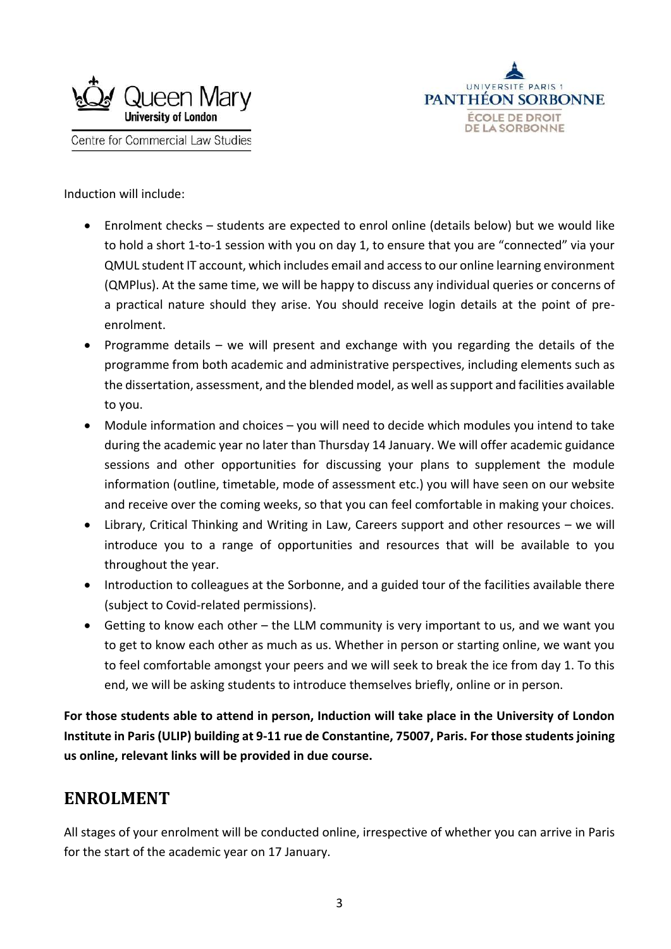



Induction will include:

- Enrolment checks students are expected to enrol online (details below) but we would like to hold a short 1-to-1 session with you on day 1, to ensure that you are "connected" via your QMUL student IT account, which includes email and access to our online learning environment (QMPlus). At the same time, we will be happy to discuss any individual queries or concerns of a practical nature should they arise. You should receive login details at the point of preenrolment.
- Programme details we will present and exchange with you regarding the details of the programme from both academic and administrative perspectives, including elements such as the dissertation, assessment, and the blended model, as well as support and facilities available to you.
- Module information and choices you will need to decide which modules you intend to take during the academic year no later than Thursday 14 January. We will offer academic guidance sessions and other opportunities for discussing your plans to supplement the module information (outline, timetable, mode of assessment etc.) you will have seen on our website and receive over the coming weeks, so that you can feel comfortable in making your choices.
- Library, Critical Thinking and Writing in Law, Careers support and other resources we will introduce you to a range of opportunities and resources that will be available to you throughout the year.
- Introduction to colleagues at the Sorbonne, and a guided tour of the facilities available there (subject to Covid-related permissions).
- Getting to know each other the LLM community is very important to us, and we want you to get to know each other as much as us. Whether in person or starting online, we want you to feel comfortable amongst your peers and we will seek to break the ice from day 1. To this end, we will be asking students to introduce themselves briefly, online or in person.

**For those students able to attend in person, Induction will take place in the University of London Institute in Paris (ULIP) building at 9-11 rue de Constantine, 75007, Paris. For those students joining us online, relevant links will be provided in due course.**

# **ENROLMENT**

All stages of your enrolment will be conducted online, irrespective of whether you can arrive in Paris for the start of the academic year on 17 January.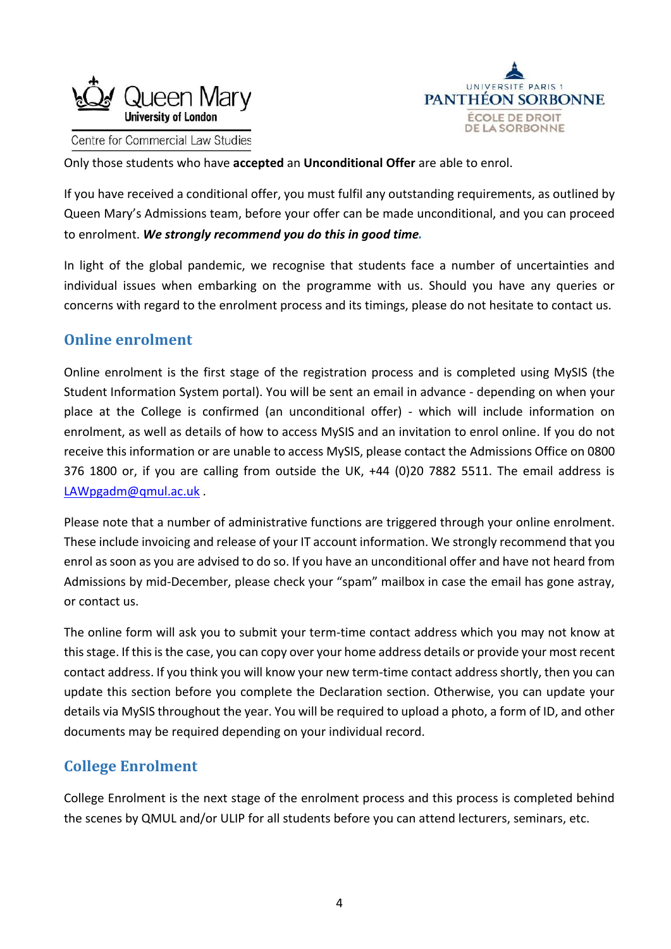



Only those students who have **accepted** an **Unconditional Offer** are able to enrol.

If you have received a conditional offer, you must fulfil any outstanding requirements, as outlined by Queen Mary's Admissions team, before your offer can be made unconditional, and you can proceed to enrolment. *We strongly recommend you do this in good time.*

In light of the global pandemic, we recognise that students face a number of uncertainties and individual issues when embarking on the programme with us. Should you have any queries or concerns with regard to the enrolment process and its timings, please do not hesitate to contact us.

## **Online enrolment**

Online enrolment is the first stage of the registration process and is completed using MySIS (the Student Information System portal). You will be sent an email in advance - depending on when your place at the College is confirmed (an unconditional offer) - which will include information on enrolment, as well as details of how to access MySIS and an invitation to enrol online. If you do not receive this information or are unable to access MySIS, please contact the Admissions Office on 0800 376 1800 or, if you are calling from outside the UK, +44 (0)20 7882 5511. The email address is [LAWpgadm@qmul.ac.uk](mailto:LAWpgadm@qmul.ac.uk) .

Please note that a number of administrative functions are triggered through your online enrolment. These include invoicing and release of your IT account information. We strongly recommend that you enrol as soon as you are advised to do so. If you have an unconditional offer and have not heard from Admissions by mid-December, please check your "spam" mailbox in case the email has gone astray, or contact us.

The online form will ask you to submit your term-time contact address which you may not know at this stage. If this is the case, you can copy over your home address details or provide your most recent contact address. If you think you will know your new term-time contact address shortly, then you can update this section before you complete the Declaration section. Otherwise, you can update your details via MySIS throughout the year. You will be required to upload a photo, a form of ID, and other documents may be required depending on your individual record.

## **College Enrolment**

College Enrolment is the next stage of the enrolment process and this process is completed behind the scenes by QMUL and/or ULIP for all students before you can attend lecturers, seminars, etc.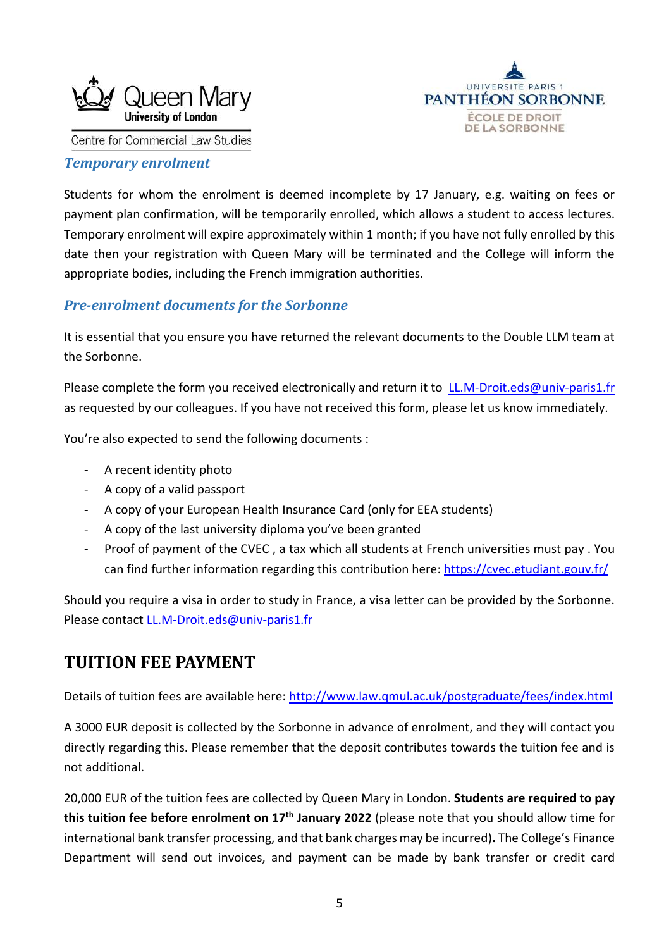



#### *Temporary enrolment*

Students for whom the enrolment is deemed incomplete by 17 January, e.g. waiting on fees or payment plan confirmation, will be temporarily enrolled, which allows a student to access lectures. Temporary enrolment will expire approximately within 1 month; if you have not fully enrolled by this date then your registration with Queen Mary will be terminated and the College will inform the appropriate bodies, including the French immigration authorities.

#### *Pre-enrolment documents for the Sorbonne*

It is essential that you ensure you have returned the relevant documents to the Double LLM team at the Sorbonne.

Please complete the form you received electronically and return it to [LL.M-Droit.eds@univ-paris1.fr](mailto:LL.M-Droit.eds@univ-paris1.fr) as requested by our colleagues. If you have not received this form, please let us know immediately.

You're also expected to send the following documents :

- A recent identity photo
- A copy of a valid passport
- A copy of your European Health Insurance Card (only for EEA students)
- A copy of the last university diploma you've been granted
- Proof of payment of the CVEC , a tax which all students at French universities must pay . You can find further information regarding this contribution here:<https://cvec.etudiant.gouv.fr/>

Should you require a visa in order to study in France, a visa letter can be provided by the Sorbonne. Please contact [LL.M-Droit.eds@univ-paris1.fr](mailto:LL.M-Droit.eds@univ-paris1.fr)

# **TUITION FEE PAYMENT**

Details of tuition fees are available here:<http://www.law.qmul.ac.uk/postgraduate/fees/index.html>

A 3000 EUR deposit is collected by the Sorbonne in advance of enrolment, and they will contact you directly regarding this. Please remember that the deposit contributes towards the tuition fee and is not additional.

20,000 EUR of the tuition fees are collected by Queen Mary in London. **Students are required to pay this tuition fee before enrolment on 17th January 2022** (please note that you should allow time for international bank transfer processing, and that bank charges may be incurred)**.** The College's Finance Department will send out invoices, and payment can be made by bank transfer or credit card